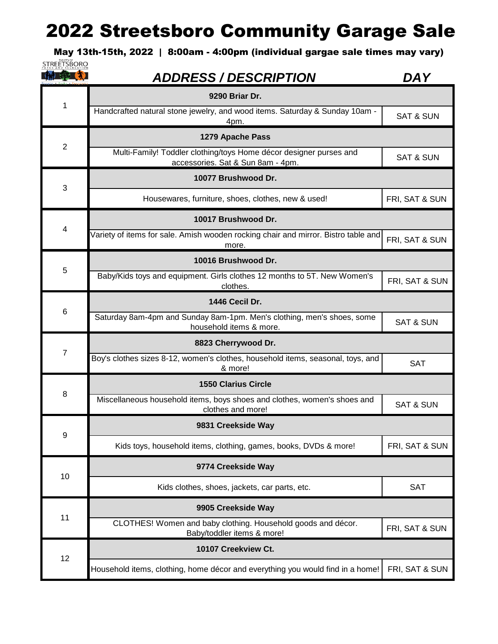May 13th-15th, 2022 | 8:00am - 4:00pm (individual gargae sale times may vary) **STREETSBORO** 

| <b>THE SEA XI</b> | <b>ADDRESS / DESCRIPTION</b>                                                                            | <b>DAY</b>           |
|-------------------|---------------------------------------------------------------------------------------------------------|----------------------|
| 1                 | 9290 Briar Dr.                                                                                          |                      |
|                   | Handcrafted natural stone jewelry, and wood items. Saturday & Sunday 10am -<br>4pm.                     | <b>SAT &amp; SUN</b> |
|                   | 1279 Apache Pass                                                                                        |                      |
| $\overline{2}$    | Multi-Family! Toddler clothing/toys Home décor designer purses and<br>accessories. Sat & Sun 8am - 4pm. | <b>SAT &amp; SUN</b> |
| 3                 | 10077 Brushwood Dr.                                                                                     |                      |
|                   | Housewares, furniture, shoes, clothes, new & used!                                                      | FRI, SAT & SUN       |
|                   | 10017 Brushwood Dr.                                                                                     |                      |
| 4                 | Variety of items for sale. Amish wooden rocking chair and mirror. Bistro table and<br>more.             | FRI, SAT & SUN       |
| 5                 | 10016 Brushwood Dr.                                                                                     |                      |
|                   | Baby/Kids toys and equipment. Girls clothes 12 months to 5T. New Women's<br>clothes.                    | FRI, SAT & SUN       |
|                   | 1446 Cecil Dr.                                                                                          |                      |
| 6                 | Saturday 8am-4pm and Sunday 8am-1pm. Men's clothing, men's shoes, some<br>household items & more.       | <b>SAT &amp; SUN</b> |
|                   | 8823 Cherrywood Dr.                                                                                     |                      |
| $\overline{7}$    | Boy's clothes sizes 8-12, women's clothes, household items, seasonal, toys, and<br>& more!              | <b>SAT</b>           |
|                   | <b>1550 Clarius Circle</b>                                                                              |                      |
| 8                 | Miscellaneous household items, boys shoes and clothes, women's shoes and<br>clothes and more!           | <b>SAT &amp; SUN</b> |
| 9                 | 9831 Creekside Way                                                                                      |                      |
|                   | Kids toys, household items, clothing, games, books, DVDs & more!                                        | FRI, SAT & SUN       |
| 10                | 9774 Creekside Way                                                                                      |                      |
|                   | Kids clothes, shoes, jackets, car parts, etc.                                                           | <b>SAT</b>           |
| 11                | 9905 Creekside Way                                                                                      |                      |
|                   | CLOTHES! Women and baby clothing. Household goods and décor.<br>Baby/toddler items & more!              | FRI, SAT & SUN       |
| 12                | 10107 Creekview Ct.                                                                                     |                      |
|                   | Household items, clothing, home décor and everything you would find in a home!                          | FRI, SAT & SUN       |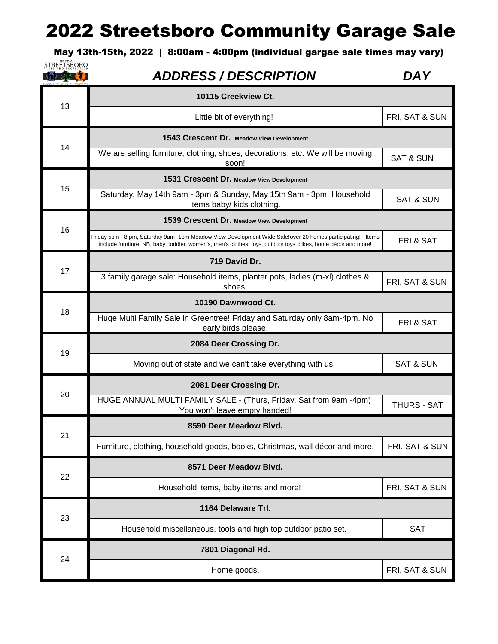May 13th-15th, 2022 | 8:00am - 4:00pm (individual gargae sale times may vary)

| <b>STREETSBORO</b> | <b>ADDRESS / DESCRIPTION</b>                                                                                                                                                                                               | DA Y                 |
|--------------------|----------------------------------------------------------------------------------------------------------------------------------------------------------------------------------------------------------------------------|----------------------|
| 13                 | 10115 Creekview Ct.                                                                                                                                                                                                        |                      |
|                    | Little bit of everything!                                                                                                                                                                                                  | FRI, SAT & SUN       |
|                    | 1543 Crescent Dr. Meadow View Development                                                                                                                                                                                  |                      |
| 14                 | We are selling furniture, clothing, shoes, decorations, etc. We will be moving<br>soon!                                                                                                                                    | <b>SAT &amp; SUN</b> |
|                    | 1531 Crescent Dr. Meadow View Development                                                                                                                                                                                  |                      |
| 15                 | Saturday, May 14th 9am - 3pm & Sunday, May 15th 9am - 3pm. Household<br>items baby/ kids clothing.                                                                                                                         | <b>SAT &amp; SUN</b> |
|                    | 1539 Crescent Dr. Meadow View Development                                                                                                                                                                                  |                      |
| 16                 | Friday 5pm - 8 pm, Saturday 9am -1pm Meadow View Development Wide Sale!over 20 homes participating! Items<br>include furniture, NB, baby, toddler, women's, men's clothes, toys, outdoor toys, bikes, home décor and more! | FRI & SAT            |
| 17                 | 719 David Dr.                                                                                                                                                                                                              |                      |
|                    | 3 family garage sale: Household items, planter pots, ladies (m-xl) clothes &<br>shoes!                                                                                                                                     | FRI, SAT & SUN       |
| 18                 | 10190 Dawnwood Ct.                                                                                                                                                                                                         |                      |
|                    | Huge Multi Family Sale in Greentree! Friday and Saturday only 8am-4pm. No<br>early birds please.                                                                                                                           | FRI & SAT            |
| 19                 | 2084 Deer Crossing Dr.                                                                                                                                                                                                     |                      |
|                    | Moving out of state and we can't take everything with us.                                                                                                                                                                  | <b>SAT &amp; SUN</b> |
|                    | 2081 Deer Crossing Dr.                                                                                                                                                                                                     |                      |
| 20                 | HUGE ANNUAL MULTI FAMILY SALE - (Thurs, Friday, Sat from 9am -4pm)<br>You won't leave empty handed!                                                                                                                        | <b>THURS - SAT</b>   |
| 21                 | 8590 Deer Meadow Blyd.                                                                                                                                                                                                     |                      |
|                    | Furniture, clothing, household goods, books, Christmas, wall décor and more.                                                                                                                                               | FRI, SAT & SUN       |
| 22                 | 8571 Deer Meadow Blvd.                                                                                                                                                                                                     |                      |
|                    | Household items, baby items and more!                                                                                                                                                                                      | FRI, SAT & SUN       |
| 23                 | 1164 Delaware Trl.                                                                                                                                                                                                         |                      |
|                    | Household miscellaneous, tools and high top outdoor patio set.                                                                                                                                                             | <b>SAT</b>           |
| 24                 | 7801 Diagonal Rd.                                                                                                                                                                                                          |                      |
|                    | Home goods.                                                                                                                                                                                                                | FRI, SAT & SUN       |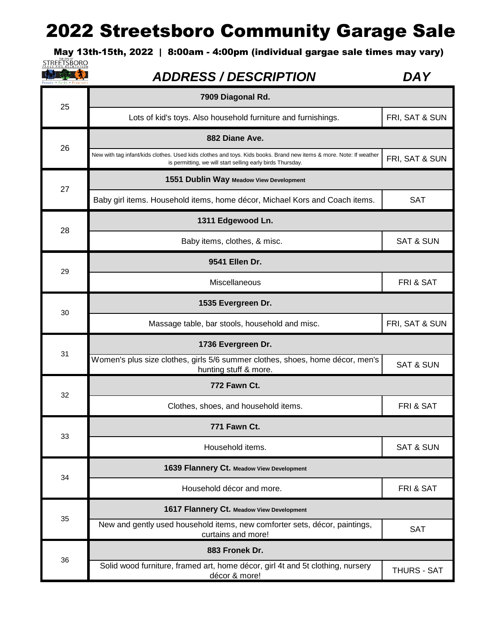May 13th-15th, 2022 | 8:00am - 4:00pm (individual gargae sale times may vary)<br>
STREËTSBORO

【抽象】

| 25 | 7909 Diagonal Rd.                                                                                                                                                                |                      |
|----|----------------------------------------------------------------------------------------------------------------------------------------------------------------------------------|----------------------|
|    | Lots of kid's toys. Also household furniture and furnishings.                                                                                                                    | FRI, SAT & SUN       |
|    | 882 Diane Ave.                                                                                                                                                                   |                      |
| 26 | New with tag infant/kids clothes. Used kids clothes and toys. Kids books. Brand new items & more. Note: If weather<br>is permitting, we will start selling early birds Thursday. | FRI, SAT & SUN       |
| 27 | 1551 Dublin Way Meadow View Development                                                                                                                                          |                      |
|    | Baby girl items. Household items, home décor, Michael Kors and Coach items.                                                                                                      | <b>SAT</b>           |
|    | 1311 Edgewood Ln.                                                                                                                                                                |                      |
| 28 | Baby items, clothes, & misc.                                                                                                                                                     | <b>SAT &amp; SUN</b> |
| 29 | 9541 Ellen Dr.                                                                                                                                                                   |                      |
|    | Miscellaneous                                                                                                                                                                    | FRI & SAT            |
|    | 1535 Evergreen Dr.                                                                                                                                                               |                      |
| 30 | Massage table, bar stools, household and misc.                                                                                                                                   | FRI, SAT & SUN       |
|    | 1736 Evergreen Dr.                                                                                                                                                               |                      |
| 31 | Women's plus size clothes, girls 5/6 summer clothes, shoes, home décor, men's<br>hunting stuff & more.                                                                           | <b>SAT &amp; SUN</b> |
| 32 | 772 Fawn Ct.                                                                                                                                                                     |                      |
|    | Clothes, shoes, and household items.                                                                                                                                             | FRI & SAT            |
| 33 | 771 Fawn Ct.                                                                                                                                                                     |                      |
|    | Household items.                                                                                                                                                                 | <b>SAT &amp; SUN</b> |
|    | 1639 Flannery Ct. Meadow View Development                                                                                                                                        |                      |
| 34 | Household décor and more.                                                                                                                                                        | FRI & SAT            |
| 35 | 1617 Flannery Ct. Meadow View Development                                                                                                                                        |                      |
|    | New and gently used household items, new comforter sets, décor, paintings,<br>curtains and more!                                                                                 | <b>SAT</b>           |
| 36 | 883 Fronek Dr.                                                                                                                                                                   |                      |
|    | Solid wood furniture, framed art, home décor, girl 4t and 5t clothing, nursery<br>décor & more!                                                                                  | THURS - SAT          |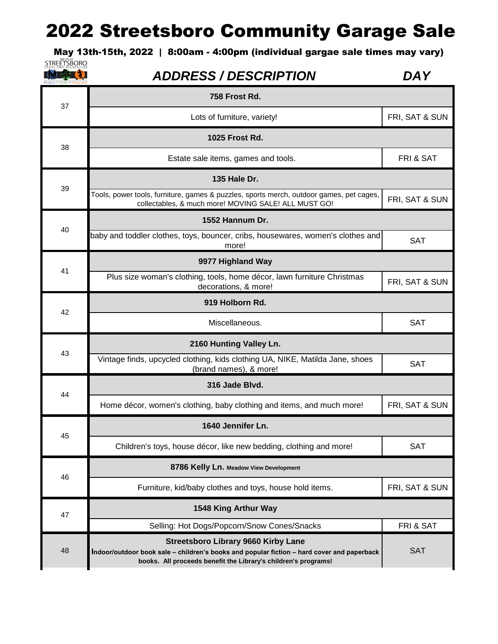May 13th-15th, 2022 | 8:00am - 4:00pm (individual gargae sale times may vary)

| STREETSBORO<br>N <sub>D</sub> | <b>RECREATION</b> |
|-------------------------------|-------------------|
|                               |                   |
|                               |                   |

| 37 | 758 Frost Rd.                                                                                                                                                                                              |                |
|----|------------------------------------------------------------------------------------------------------------------------------------------------------------------------------------------------------------|----------------|
|    | Lots of furniture, variety!                                                                                                                                                                                | FRI, SAT & SUN |
| 38 | 1025 Frost Rd.                                                                                                                                                                                             |                |
|    | Estate sale items, games and tools.                                                                                                                                                                        | FRI & SAT      |
|    | 135 Hale Dr.                                                                                                                                                                                               |                |
| 39 | Tools, power tools, furniture, games & puzzles, sports merch, outdoor games, pet cages,<br>collectables, & much more! MOVING SALE! ALL MUST GO!                                                            | FRI, SAT & SUN |
|    | 1552 Hannum Dr.                                                                                                                                                                                            |                |
| 40 | baby and toddler clothes, toys, bouncer, cribs, housewares, women's clothes and<br>more!                                                                                                                   | <b>SAT</b>     |
|    | 9977 Highland Way                                                                                                                                                                                          |                |
| 41 | Plus size woman's clothing, tools, home décor, lawn furniture Christmas<br>decorations, & more!                                                                                                            | FRI, SAT & SUN |
|    | 919 Holborn Rd.                                                                                                                                                                                            |                |
| 42 | Miscellaneous.                                                                                                                                                                                             | <b>SAT</b>     |
| 43 | 2160 Hunting Valley Ln.                                                                                                                                                                                    |                |
|    | Vintage finds, upcycled clothing, kids clothing UA, NIKE, Matilda Jane, shoes<br>(brand names), & more!                                                                                                    | <b>SAT</b>     |
|    | 316 Jade Blvd.                                                                                                                                                                                             |                |
| 44 | Home décor, women's clothing, baby clothing and items, and much more!                                                                                                                                      | FRI, SAT & SUN |
| 45 | 1640 Jennifer Ln.                                                                                                                                                                                          |                |
|    | Children's toys, house décor, like new bedding, clothing and more!                                                                                                                                         | <b>SAT</b>     |
| 46 | 8786 Kelly Ln. Meadow View Development                                                                                                                                                                     |                |
|    | Furniture, kid/baby clothes and toys, house hold items.                                                                                                                                                    | FRI, SAT & SUN |
| 47 | 1548 King Arthur Way                                                                                                                                                                                       |                |
|    | Selling: Hot Dogs/Popcorn/Snow Cones/Snacks                                                                                                                                                                | FRI & SAT      |
| 48 | <b>Streetsboro Library 9660 Kirby Lane</b><br>Indoor/outdoor book sale – children's books and popular fiction – hard cover and paperback<br>books. All proceeds benefit the Library's children's programs! | <b>SAT</b>     |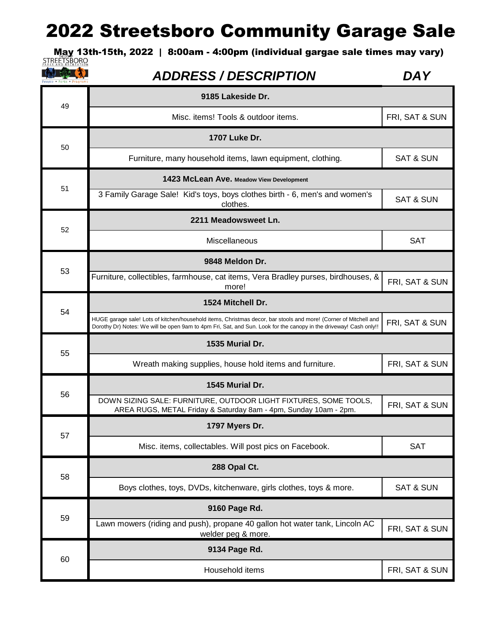May 13th-15th, 2022 | 8:00am - 4:00pm (individual gargae sale times may vary)<br><u>STREETSBORO</u>

#### 中国家工夫】

| 49 | 9185 Lakeside Dr.                                                                                                                                                                                                                     |                      |
|----|---------------------------------------------------------------------------------------------------------------------------------------------------------------------------------------------------------------------------------------|----------------------|
|    | Misc. items! Tools & outdoor items.                                                                                                                                                                                                   | FRI, SAT & SUN       |
| 50 | 1707 Luke Dr.                                                                                                                                                                                                                         |                      |
|    | Furniture, many household items, lawn equipment, clothing.                                                                                                                                                                            | <b>SAT &amp; SUN</b> |
| 51 | 1423 McLean Ave. Meadow View Development                                                                                                                                                                                              |                      |
|    | 3 Family Garage Sale! Kid's toys, boys clothes birth - 6, men's and women's<br>clothes.                                                                                                                                               | <b>SAT &amp; SUN</b> |
| 52 | 2211 Meadowsweet Ln.                                                                                                                                                                                                                  |                      |
|    | Miscellaneous                                                                                                                                                                                                                         | <b>SAT</b>           |
| 53 | 9848 Meldon Dr.                                                                                                                                                                                                                       |                      |
|    | Furniture, collectibles, farmhouse, cat items, Vera Bradley purses, birdhouses, &<br>more!                                                                                                                                            | FRI, SAT & SUN       |
|    | 1524 Mitchell Dr.                                                                                                                                                                                                                     |                      |
| 54 | HUGE garage sale! Lots of kitchen/household items, Christmas decor, bar stools and more! (Corner of Mitchell and<br>Dorothy Dr) Notes: We will be open 9am to 4pm Fri, Sat, and Sun. Look for the canopy in the driveway! Cash only!! | FRI, SAT & SUN       |
| 55 | 1535 Murial Dr.                                                                                                                                                                                                                       |                      |
|    | Wreath making supplies, house hold items and furniture.                                                                                                                                                                               | FRI, SAT & SUN       |
|    | 1545 Murial Dr.                                                                                                                                                                                                                       |                      |
| 56 | DOWN SIZING SALE: FURNITURE, OUTDOOR LIGHT FIXTURES, SOME TOOLS,<br>AREA RUGS, METAL Friday & Saturday 8am - 4pm, Sunday 10am - 2pm.                                                                                                  | FRI, SAT & SUN       |
| 57 | 1797 Myers Dr.                                                                                                                                                                                                                        |                      |
|    | Misc. items, collectables. Will post pics on Facebook.                                                                                                                                                                                | <b>SAT</b>           |
|    | 288 Opal Ct.                                                                                                                                                                                                                          |                      |
| 58 | Boys clothes, toys, DVDs, kitchenware, girls clothes, toys & more.                                                                                                                                                                    | SAT & SUN            |
| 59 | 9160 Page Rd.                                                                                                                                                                                                                         |                      |
|    | Lawn mowers (riding and push), propane 40 gallon hot water tank, Lincoln AC<br>welder peg & more.                                                                                                                                     | FRI, SAT & SUN       |
| 60 | 9134 Page Rd.                                                                                                                                                                                                                         |                      |
|    | Household items                                                                                                                                                                                                                       | FRI, SAT & SUN       |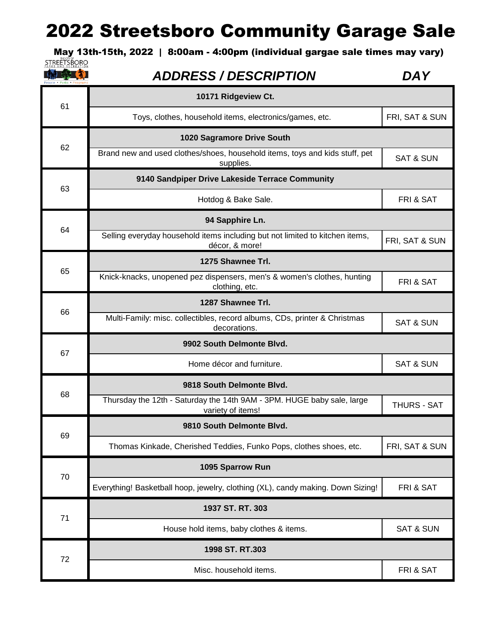May 13th-15th, 2022 | 8:00am - 4:00pm (individual gargae sale times may vary)<br>STREETSBORO

11 年 文

| 61 | 10171 Ridgeview Ct.                                                                            |                      |
|----|------------------------------------------------------------------------------------------------|----------------------|
|    | Toys, clothes, household items, electronics/games, etc.                                        | FRI, SAT & SUN       |
|    | 1020 Sagramore Drive South                                                                     |                      |
| 62 | Brand new and used clothes/shoes, household items, toys and kids stuff, pet<br>supplies.       | <b>SAT &amp; SUN</b> |
| 63 | 9140 Sandpiper Drive Lakeside Terrace Community                                                |                      |
|    | Hotdog & Bake Sale.                                                                            | FRI & SAT            |
| 64 | 94 Sapphire Ln.                                                                                |                      |
|    | Selling everyday household items including but not limited to kitchen items,<br>décor, & more! | FRI, SAT & SUN       |
|    | 1275 Shawnee Trl.                                                                              |                      |
| 65 | Knick-knacks, unopened pez dispensers, men's & women's clothes, hunting<br>clothing, etc.      | FRI & SAT            |
|    | 1287 Shawnee Trl.                                                                              |                      |
| 66 | Multi-Family: misc. collectibles, record albums, CDs, printer & Christmas<br>decorations.      | <b>SAT &amp; SUN</b> |
| 67 | 9902 South Delmonte Blvd.                                                                      |                      |
|    | Home décor and furniture.                                                                      | <b>SAT &amp; SUN</b> |
| 68 | 9818 South Delmonte Blvd.                                                                      |                      |
|    | Thursday the 12th - Saturday the 14th 9AM - 3PM. HUGE baby sale, large<br>variety of items!    | <b>THURS - SAT</b>   |
|    | 9810 South Delmonte Blvd.                                                                      |                      |
| 69 | Thomas Kinkade, Cherished Teddies, Funko Pops, clothes shoes, etc.                             | FRI, SAT & SUN       |
| 70 | 1095 Sparrow Run                                                                               |                      |
|    | Everything! Basketball hoop, jewelry, clothing (XL), candy making. Down Sizing!                | FRI & SAT            |
| 71 | 1937 ST. RT. 303                                                                               |                      |
|    |                                                                                                |                      |
|    | House hold items, baby clothes & items.                                                        | <b>SAT &amp; SUN</b> |
| 72 | 1998 ST. RT.303                                                                                |                      |